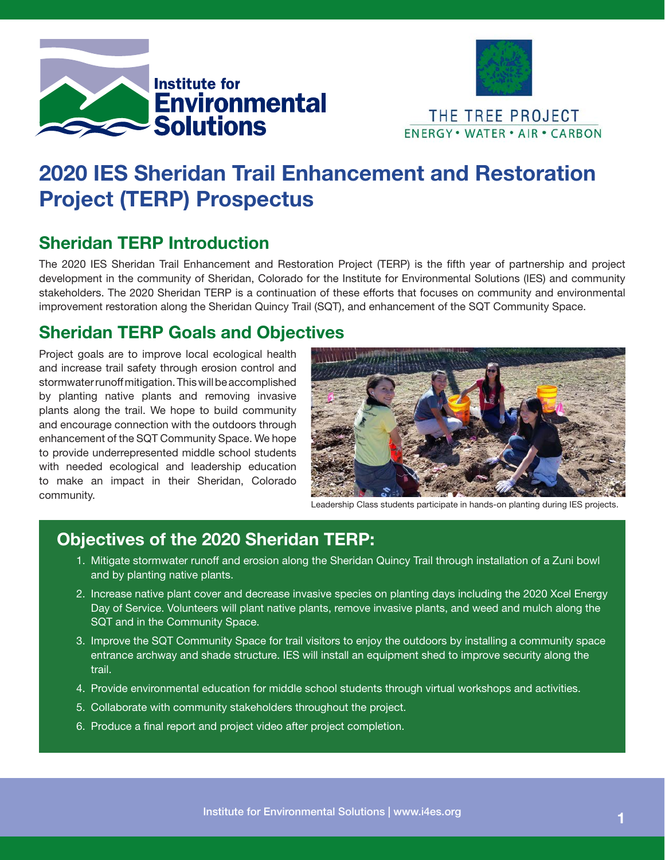



# 2020 IES Sheridan Trail Enhancement and Restoration Project (TERP) Prospectus

## Sheridan TERP Introduction

The 2020 IES Sheridan Trail Enhancement and Restoration Project (TERP) is the fifth year of partnership and project development in the community of Sheridan, Colorado for the Institute for Environmental Solutions (IES) and community stakeholders. The 2020 Sheridan TERP is a continuation of these efforts that focuses on community and environmental improvement restoration along the Sheridan Quincy Trail (SQT), and enhancement of the SQT Community Space.

### Sheridan TERP Goals and Objectives

Project goals are to improve local ecological health and increase trail safety through erosion control and stormwater runoff mitigation. This will be accomplished by planting native plants and removing invasive plants along the trail. We hope to build community and encourage connection with the outdoors through enhancement of the SQT Community Space. We hope to provide underrepresented middle school students with needed ecological and leadership education to make an impact in their Sheridan, Colorado community.



Leadership Class students participate in hands-on planting during IES projects.

#### Objectives of the 2020 Sheridan TERP:

- 1. Mitigate stormwater runoff and erosion along the Sheridan Quincy Trail through installation of a Zuni bowl and by planting native plants.
- 2. Increase native plant cover and decrease invasive species on planting days including the 2020 Xcel Energy Day of Service. Volunteers will plant native plants, remove invasive plants, and weed and mulch along the SQT and in the Community Space.
- 3. Improve the SQT Community Space for trail visitors to enjoy the outdoors by installing a community space entrance archway and shade structure. IES will install an equipment shed to improve security along the trail.
- 4. Provide environmental education for middle school students through virtual workshops and activities.
- 5. Collaborate with community stakeholders throughout the project.
- 6. Produce a final report and project video after project completion.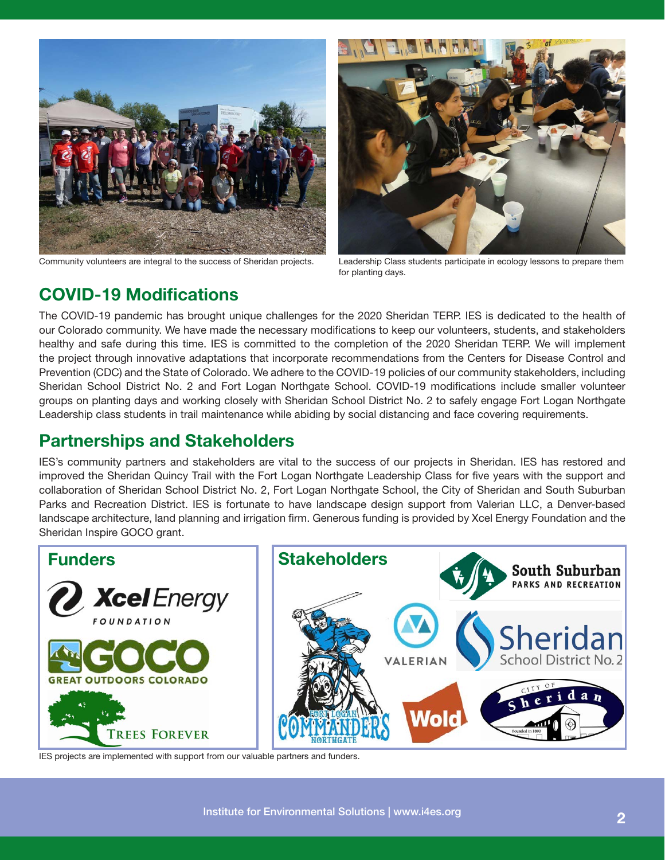

Community volunteers are integral to the success of Sheridan projects. Leadership Class students participate in ecology lessons to prepare them



for planting days.

#### COVID-19 Modifications

The COVID-19 pandemic has brought unique challenges for the 2020 Sheridan TERP. IES is dedicated to the health of our Colorado community. We have made the necessary modifications to keep our volunteers, students, and stakeholders healthy and safe during this time. IES is committed to the completion of the 2020 Sheridan TERP. We will implement the project through innovative adaptations that incorporate recommendations from the Centers for Disease Control and Prevention (CDC) and the State of Colorado. We adhere to the COVID-19 policies of our community stakeholders, including Sheridan School District No. 2 and Fort Logan Northgate School. COVID-19 modifications include smaller volunteer groups on planting days and working closely with Sheridan School District No. 2 to safely engage Fort Logan Northgate Leadership class students in trail maintenance while abiding by social distancing and face covering requirements.

#### Partnerships and Stakeholders

IES's community partners and stakeholders are vital to the success of our projects in Sheridan. IES has restored and improved the Sheridan Quincy Trail with the Fort Logan Northgate Leadership Class for five years with the support and collaboration of Sheridan School District No. 2, Fort Logan Northgate School, the City of Sheridan and South Suburban Parks and Recreation District. IES is fortunate to have landscape design support from Valerian LLC, a Denver-based landscape architecture, land planning and irrigation firm. Generous funding is provided by Xcel Energy Foundation and the Sheridan Inspire GOCO grant.



IES projects are implemented with support from our valuable partners and funders.